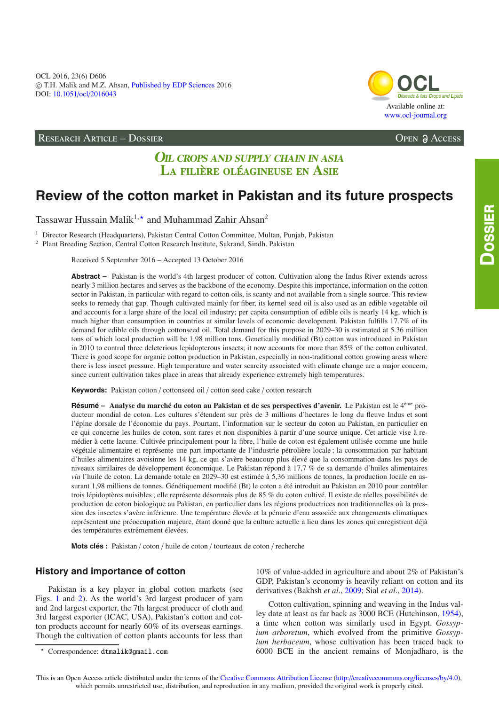OCL 2016, 23(6) D606 -c T.H. Malik and M.Z. Ahsan, [Published by EDP Sciences](http://www.edpsciences.org) 2016 DOI: 10.1051/ocl/[2016043](http://dx.doi.org/10.1051/ocl/2016043)

### RESEARCH ARTICLE – DOSSIER Open Access



## **OIL CROPS AND SUPPLY CHAIN IN ASIA** LA FILIÈRE OLÉAGINEUSE EN ASIE

# **Review of the cotton market in Pakistan and its future prospects**

Tassawar Hussain Malik $^{1,\star}$  and Muhammad Zahir Ahsan $^2$ 

<sup>1</sup> Director Research (Headquarters), Pakistan Central Cotton Committee, Multan, Punjab, Pakistan

<sup>2</sup> Plant Breeding Section, Central Cotton Research Institute, Sakrand, Sindh. Pakistan

Received 5 September 2016 – Accepted 13 October 2016

**Abstract –** Pakistan is the world's 4th largest producer of cotton. Cultivation along the Indus River extends across nearly 3 million hectares and serves as the backbone of the economy. Despite this importance, information on the cotton sector in Pakistan, in particular with regard to cotton oils, is scanty and not available from a single source. This review seeks to remedy that gap. Though cultivated mainly for fiber, its kernel seed oil is also used as an edible vegetable oil and accounts for a large share of the local oil industry; per capita consumption of edible oils is nearly 14 kg, which is much higher than consumption in countries at similar levels of economic development. Pakistan fulfills 17.7% of its demand for edible oils through cottonseed oil. Total demand for this purpose in 2029–30 is estimated at 5.36 million tons of which local production will be 1.98 million tons. Genetically modified (Bt) cotton was introduced in Pakistan in 2010 to control three deleterious lepidopterous insects; it now accounts for more than 85% of the cotton cultivated. There is good scope for organic cotton production in Pakistan, especially in non-traditional cotton growing areas where there is less insect pressure. High temperature and water scarcity associated with climate change are a major concern, since current cultivation takes place in areas that already experience extremely high temperatures.

**Keywords:** Pakistan cotton / cottonseed oil / cotton seed cake / cotton research

**Résumé – Analyse du marché du coton au Pakistan et de ses perspectives d'avenir.** Le Pakistan est le 4ème producteur mondial de coton. Les cultures s'étendent sur près de 3 millions d'hectares le long du fleuve Indus et sont l'épine dorsale de l'économie du pays. Pourtant, l'information sur le secteur du coton au Pakistan, en particulier en ce qui concerne les huiles de coton, sont rares et non disponibles à partir d'une source unique. Cet article vise à remédier à cette lacune. Cultivée principalement pour la fibre, l'huile de coton est également utilisée comme une huile végétale alimentaire et représente une part importante de l'industrie pétrolière locale ; la consommation par habitant d'huiles alimentaires avoisinne les 14 kg, ce qui s'avère beaucoup plus élevé que la consommation dans les pays de niveaux similaires de développement économique. Le Pakistan répond à 17,7 % de sa demande d'huiles alimentaires *via* l'huile de coton. La demande totale en 2029–30 est estimée à 5,36 millions de tonnes, la production locale en assurant 1,98 millions de tonnes. Génétiquement modifié (Bt) le coton a été introduit au Pakistan en 2010 pour contrôler trois lépidoptères nuisibles ; elle représente désormais plus de 85 % du coton cultivé. Il existe de réelles possibilités de production de coton biologique au Pakistan, en particulier dans les régions productrices non traditionnelles où la pression des insectes s'avère inférieure. Une température élevée et la pénurie d'eau associée aux changements climatiques représentent une préoccupation majeure, étant donné que la culture actuelle a lieu dans les zones qui enregistrent déjà des températures extrêmement élevées.

**Mots clés :** Pakistan / coton / huile de coton / tourteaux de coton / recherche

## **History and importance of cotton**

Pakistan is a key player in global cotton markets (see Figs. [1](#page-1-0) and [2\)](#page-1-1). As the world's 3rd largest producer of yarn and 2nd largest exporter, the 7th largest producer of cloth and 3rd largest exporter (ICAC, USA), Pakistan's cotton and cotton products account for nearly 60% of its overseas earnings. Though the cultivation of cotton plants accounts for less than 10% of value-added in agriculture and about 2% of Pakistan's GDP, Pakistan's economy is heavily reliant on cotton and its derivatives (Bakhsh *et al*., [2009;](#page-6-0) Sial *et al*., [2014\)](#page-6-1).

Cotton cultivation, spinning and weaving in the Indus valley date at least as far back as 3000 BCE (Hutchinson, [1954\)](#page-6-2), a time when cotton was similarly used in Egypt. *Gossypium arboretum*, which evolved from the primitive *Gossypium herbaceum*, whose cultivation has been traced back to 6000 BCE in the ancient remains of Monjadharo, is the

 $\star$ Correspondence: dtmalik@gmail.com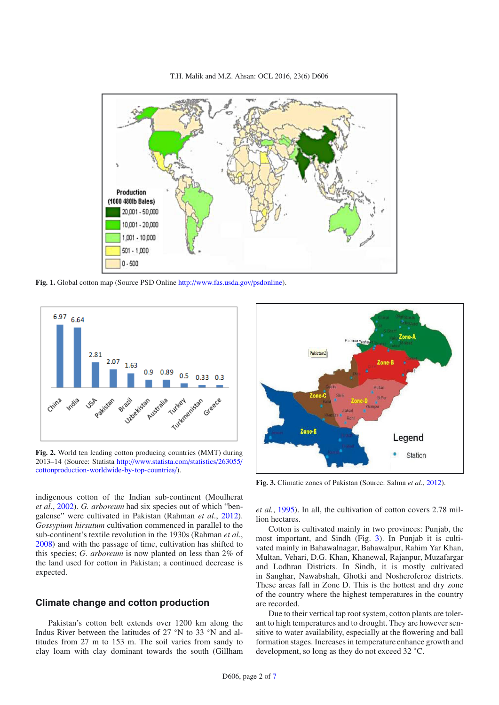T.H. Malik and M.Z. Ahsan: OCL 2016, 23(6) D606

<span id="page-1-0"></span>

**Fig. 1.** Global cotton map (Source PSD Online http://[www.fas.usda.gov](http://www.fas.usda.gov/psdonline)/psdonline).

<span id="page-1-1"></span>

**Fig. 2.** World ten leading cotton producing countries (MMT) during 2013–14 (Source: Statista http://[www.statista.com](http://www.statista.com/statistics/263055/cottonproduction-worldwide-by-top-countries/)/statistics/263055/ [cottonproduction-worldwide-by-top-countries](http://www.statista.com/statistics/263055/cottonproduction-worldwide-by-top-countries/)/).

indigenous cotton of the Indian sub-continent (Moulherat *et al*., [2002\)](#page-6-3). *G. arboreum* had six species out of which "bengalense" were cultivated in Pakistan (Rahman *et al*., [2012](#page-6-4)). *Gossypium hirsutum* cultivation commenced in parallel to the sub-continent's textile revolution in the 1930s (Rahman *et al*., [2008\)](#page-6-5) and with the passage of time, cultivation has shifted to this species; *G*. *arboreum* is now planted on less than 2% of the land used for cotton in Pakistan; a continued decrease is expected.

## **Climate change and cotton production**

Pakistan's cotton belt extends over 1200 km along the Indus River between the latitudes of 27 °N to 33 °N and altitudes from 27 m to 153 m. The soil varies from sandy to clay loam with clay dominant towards the south (Gillham

<span id="page-1-2"></span>

**Fig. 3.** Climatic zones of Pakistan (Source: Salma *et al*., [2012\)](#page-6-6).

*et al.*, [1995\)](#page-6-7). In all, the cultivation of cotton covers 2.78 million hectares.

Cotton is cultivated mainly in two provinces: Punjab, the most important, and Sindh (Fig. [3\)](#page-1-2). In Punjab it is cultivated mainly in Bahawalnagar, Bahawalpur, Rahim Yar Khan, Multan, Vehari, D.G. Khan, Khanewal, Rajanpur, Muzafargar and Lodhran Districts. In Sindh, it is mostly cultivated in Sanghar, Nawabshah, Ghotki and Nosheroferoz districts. These areas fall in Zone D. This is the hottest and dry zone of the country where the highest temperatures in the country are recorded.

Due to their vertical tap root system, cotton plants are tolerant to high temperatures and to drought. They are however sensitive to water availability, especially at the flowering and ball formation stages. Increases in temperature enhance growth and development, so long as they do not exceed 32 ◦C.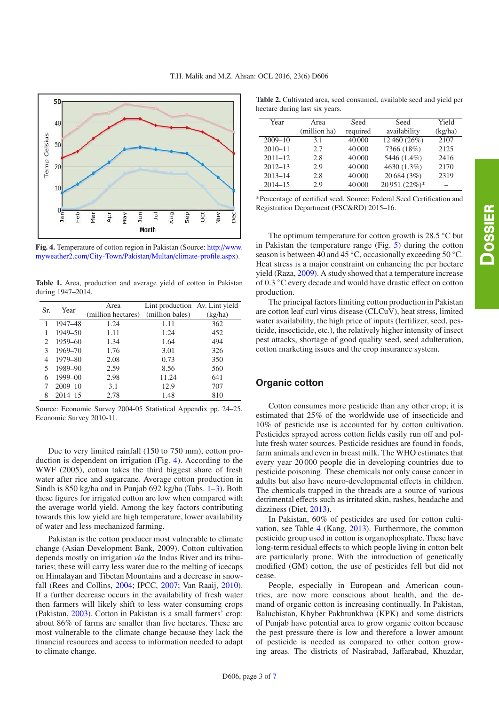<span id="page-2-1"></span><span id="page-2-0"></span>

**Fig. 4.** Temperature of cotton region in Pakistan (Source: http://[www.](http://www.myweather2.com/City-Town/Pakistan/Multan/climate-profile.aspx) myweather2.com/City-Town/Pakistan/Multan/[climate-profile.aspx\)](http://www.myweather2.com/City-Town/Pakistan/Multan/climate-profile.aspx).

**Table 1.** Area, production and average yield of cotton in Pakistan during 1947–2014.

| Sr. | Year        | Area               | Lint production Av. Lint yield |         |
|-----|-------------|--------------------|--------------------------------|---------|
|     |             | (million hectares) | (million bales)                | (kg/ha) |
|     | 1947-48     | 1.24               | 1.11                           | 362     |
| 1   | 1949-50     | 1.11               | 1.24                           | 452     |
| 2   | 1959-60     | 1.34               | 1.64                           | 494     |
| 3   | 1969-70     | 1.76               | 3.01                           | 326     |
| 4   | $1979 - 80$ | 2.08               | 0.73                           | 350     |
| 5   | 1989-90     | 2.59               | 8.56                           | 560     |
| 6   | $1999 - 00$ | 2.98               | 11.24                          | 641     |
| 7   | $2009 - 10$ | 3.1                | 12.9                           | 707     |
| 8   | $2014 - 15$ | 2.78               | 1.48                           | 810     |

Source: Economic Survey 2004-05 Statistical Appendix pp. 24–25, Economic Survey 2010-11.

Due to very limited rainfall (150 to 750 mm), cotton production is dependent on irrigation (Fig. [4\)](#page-2-0). According to the WWF (2005), cotton takes the third biggest share of fresh water after rice and sugarcane. Average cotton production in Sindh is 850 kg/ha and in Punjab 692 kg/ha (Tabs. [1](#page-2-1)[–3\)](#page-3-0). Both these figures for irrigated cotton are low when compared with the average world yield. Among the key factors contributing towards this low yield are high temperature, lower availability of water and less mechanized farming.

Pakistan is the cotton producer most vulnerable to climate change (Asian Development Bank, 2009). Cotton cultivation depends mostly on irrigation *via* the Indus River and its tributaries; these will carry less water due to the melting of icecaps on Himalayan and Tibetan Mountains and a decrease in snowfall (Rees and Collins, [2004;](#page-6-9) IPCC, [2007](#page-6-10); Van Raaij, [2010](#page-6-11)). If a further decrease occurs in the availability of fresh water then farmers will likely shift to less water consuming crops (Pakistan, [2003\)](#page-6-12). Cotton in Pakistan is a small farmers' crop: about 86% of farms are smaller than five hectares. These are most vulnerable to the climate change because they lack the financial resources and access to information needed to adapt to climate change.

**Table 2.** Cultivated area, seed consumed, available seed and yield per hectare during last six years.

| Year        | Area         | Seed     | Seed         | Yield   |
|-------------|--------------|----------|--------------|---------|
|             | (million ha) | required | availability | (kg/ha) |
| $2009 - 10$ | 3.1          | 40,000   | 12 460 (26%) | 2107    |
| $2010 - 11$ | 2.7          | 40 000   | 7366 (18%)   | 2125    |
| $2011 - 12$ | 2.8          | 40 000   | 5446 (1.4%)  | 2416    |
| $2012 - 13$ | 2.9          | 40 000   | 4630 (1.3%)  | 2170    |
| $2013 - 14$ | 2.8          | 40 000   | 20 684 (3%)  | 2319    |
| $2014 - 15$ | 2.9          | 40 000   | 20951 (22%)* |         |

\*Percentage of certified seed. Source: Federal Seed Certification and Registration Department (FSC&RD) 2015–16.

The optimum temperature for cotton growth is  $28.5 \degree C$  but in Pakistan the temperature range (Fig. [5\)](#page-3-1) during the cotton season is between 40 and 45 ◦C, occasionally exceeding 50 ◦C. Heat stress is a major constraint on enhancing the per hectare yield (Raza, [2009\)](#page-6-13). A study showed that a temperature increase of 0.3 ◦C every decade and would have drastic effect on cotton production.

The principal factors limiting cotton production in Pakistan are cotton leaf curl virus disease (CLCuV), heat stress, limited water availability, the high price of inputs (fertilizer, seed, pesticide, insecticide, etc.), the relatively higher intensity of insect pest attacks, shortage of good quality seed, seed adulteration, cotton marketing issues and the crop insurance system.

#### **Organic cotton**

Cotton consumes more pesticide than any other crop; it is estimated that 25% of the worldwide use of insecticide and 10% of pesticide use is accounted for by cotton cultivation. Pesticides sprayed across cotton fields easily run off and pollute fresh water sources. Pesticide residues are found in foods, farm animals and even in breast milk. The WHO estimates that every year 20 000 people die in developing countries due to pesticide poisoning. These chemicals not only cause cancer in adults but also have neuro-developmental effects in children. The chemicals trapped in the threads are a source of various detrimental effects such as irritated skin, rashes, headache and dizziness (Diet, [2013\)](#page-6-14).

In Pakistan, 60% of pesticides are used for cotton cultivation, see Table [4](#page-3-2) (Kang, [2013](#page-6-15)). Furthermore, the common pesticide group used in cotton is organophosphate. These have long-term residual effects to which people living in cotton belt are particularly prone. With the introduction of genetically modified (GM) cotton, the use of pesticides fell but did not cease.

People, especially in European and American countries, are now more conscious about health, and the demand of organic cotton is increasing continually. In Pakistan, Baluchistan, Khyber Pakhtunkhwa (KPK) and some districts of Punjab have potential area to grow organic cotton because the pest pressure there is low and therefore a lower amount of pesticide is needed as compared to other cotton growing areas. The districts of Nasirabad, Jaffarabad, Khuzdar,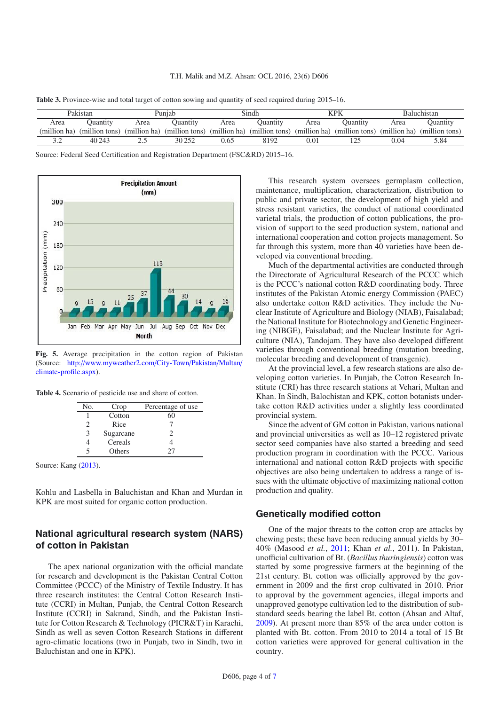<span id="page-3-0"></span>

| Table 3. Province-wise and total target of cotton sowing and quantity of seed required during 2015–16. |  |  |  |  |
|--------------------------------------------------------------------------------------------------------|--|--|--|--|
|--------------------------------------------------------------------------------------------------------|--|--|--|--|

| Pakistan     |                | Puniab |                             |      | Sindh                       |          | KPK                         |      | <b>Baluchistan</b>          |  |
|--------------|----------------|--------|-----------------------------|------|-----------------------------|----------|-----------------------------|------|-----------------------------|--|
| Area         | Ouantity       | Area   | Ouantity                    | Area | Ouantity                    | Area     | Ouantitv                    | Area | Ouantity                    |  |
| (million ha) | (million tons) |        | (million ha) (million tons) |      | (million ha) (million tons) |          | (million ha) (million tons) |      | (million ha) (million tons) |  |
| - -          | 40 243         | ت ہے   | 30 25 2                     | 0.65 | 8192                        | $0.01\,$ |                             | 0.04 | 5.84                        |  |

Source: Federal Seed Certification and Registration Department (FSC&RD) 2015–16.

<span id="page-3-1"></span>

<span id="page-3-2"></span>**Fig. 5.** Average precipitation in the cotton region of Pakistan (Source: http://[www.myweather2.com](http://www.myweather2.com/City-Town/Pakistan/Multan/climate-profile.aspx)/City-Town/Pakistan/Multan/ [climate-profile.aspx\)](http://www.myweather2.com/City-Town/Pakistan/Multan/climate-profile.aspx).

**Table 4.** Scenario of pesticide use and share of cotton.

| No.            | Crop      | Percentage of use |
|----------------|-----------|-------------------|
|                | Cotton    | 60                |
| $\mathfrak{D}$ | Rice      |                   |
| $\mathcal{E}$  | Sugarcane | 2                 |
|                | Cereals   |                   |
| 5              | Others    | 77                |

Source: Kang [\(2013\)](#page-6-15).

Kohlu and Lasbella in Baluchistan and Khan and Murdan in KPK are most suited for organic cotton production.

## **National agricultural research system (NARS) of cotton in Pakistan**

The apex national organization with the official mandate for research and development is the Pakistan Central Cotton Committee (PCCC) of the Ministry of Textile Industry. It has three research institutes: the Central Cotton Research Institute (CCRI) in Multan, Punjab, the Central Cotton Research Institute (CCRI) in Sakrand, Sindh, and the Pakistan Institute for Cotton Research & Technology (PICR&T) in Karachi, Sindh as well as seven Cotton Research Stations in different agro-climatic locations (two in Punjab, two in Sindh, two in Baluchistan and one in KPK).

This research system oversees germplasm collection, maintenance, multiplication, characterization, distribution to public and private sector, the development of high yield and stress resistant varieties, the conduct of national coordinated varietal trials, the production of cotton publications, the provision of support to the seed production system, national and international cooperation and cotton projects management. So far through this system, more than 40 varieties have been developed via conventional breeding.

Much of the departmental activities are conducted through the Directorate of Agricultural Research of the PCCC which is the PCCC's national cotton R&D coordinating body. Three institutes of the Pakistan Atomic energy Commission (PAEC) also undertake cotton R&D activities. They include the Nuclear Institute of Agriculture and Biology (NIAB), Faisalabad; the National Institute for Biotechnology and Genetic Engineering (NIBGE), Faisalabad; and the Nuclear Institute for Agriculture (NIA), Tandojam. They have also developed different varieties through conventional breeding (mutation breeding, molecular breeding and development of transgenic).

At the provincial level, a few research stations are also developing cotton varieties. In Punjab, the Cotton Research Institute (CRI) has three research stations at Vehari, Multan and Khan. In Sindh, Balochistan and KPK, cotton botanists undertake cotton R&D activities under a slightly less coordinated provincial system.

Since the advent of GM cotton in Pakistan, various national and provincial universities as well as 10–12 registered private sector seed companies have also started a breeding and seed production program in coordination with the PCCC. Various international and national cotton R&D projects with specific objectives are also being undertaken to address a range of issues with the ultimate objective of maximizing national cotton production and quality.

#### **Genetically modified cotton**

One of the major threats to the cotton crop are attacks by chewing pests; these have been reducing annual yields by 30– 40% (Masood *et al.*, [2011;](#page-6-16) Khan *et al.*, 2011). In Pakistan, unofficial cultivation of Bt. (*Bacillus thuringiensis*) cotton was started by some progressive farmers at the beginning of the 21st century. Bt. cotton was officially approved by the government in 2009 and the first crop cultivated in 2010. Prior to approval by the government agencies, illegal imports and unapproved genotype cultivation led to the distribution of substandard seeds bearing the label Bt. cotton (Ahsan and Altaf, [2009\)](#page-6-17). At present more than 85% of the area under cotton is planted with Bt. cotton. From 2010 to 2014 a total of 15 Bt cotton varieties were approved for general cultivation in the country.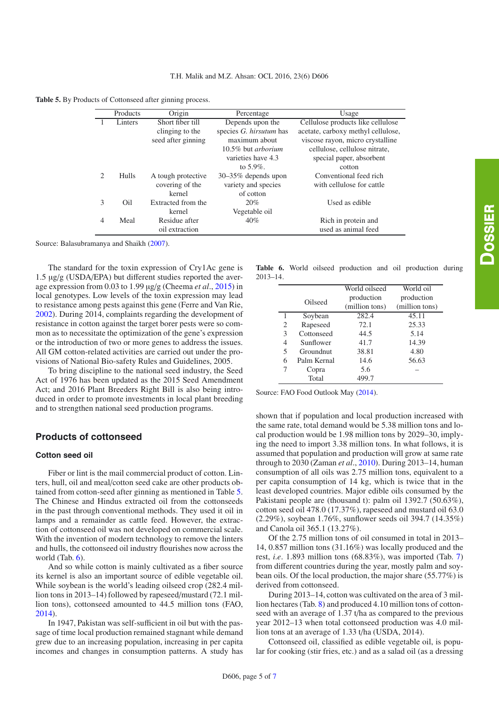<span id="page-4-0"></span>**Table 5.** By Products of Cottonseed after ginning process.

|                | Products | Origin             | Percentage                | Usage                              |
|----------------|----------|--------------------|---------------------------|------------------------------------|
|                | Linters  | Short fiber till   | Depends upon the          | Cellulose products like cellulose  |
|                |          | clinging to the    | species G. hirsutum has   | acetate, carboxy methyl cellulose, |
|                |          | seed after ginning | maximum about             | viscose rayon, micro crystalline   |
|                |          |                    | 10.5% but <i>arborium</i> | cellulose, cellulose nitrate,      |
|                |          |                    | varieties have 4.3        | special paper, absorbent           |
|                |          |                    | to $5.9\%$ .              | cotton                             |
| $\mathfrak{D}$ | Hulls    | A tough protective | 30-35% depends upon       | Conventional feed rich             |
|                |          | covering of the    | variety and species       | with cellulose for cattle          |
|                |          | kernel             | of cotton                 |                                    |
| 3              | Oil      | Extracted from the | 20%                       | Used as edible                     |
|                |          | kernel             | Vegetable oil             |                                    |
| 4              | Meal     | Residue after      | 40%                       | Rich in protein and                |
|                |          | oil extraction     |                           | used as animal feed                |

Source: Balasubramanya and Shaikh [\(2007](#page-6-18)).

The standard for the toxin expression of Cry1Ac gene is 1.5 µg/g (USDA/EPA) but different studies reported the average expression from 0.03 to 1.99 µg/g (Cheema *et al*., [2015\)](#page-6-19) in local genotypes. Low levels of the toxin expression may lead to resistance among pests against this gene (Ferre and Van Rie, [2002\)](#page-6-20). During 2014, complaints regarding the development of resistance in cotton against the target borer pests were so common as to necessitate the optimization of the gene's expression or the introduction of two or more genes to address the issues. All GM cotton-related activities are carried out under the provisions of National Bio-safety Rules and Guidelines, 2005.

To bring discipline to the national seed industry, the Seed Act of 1976 has been updated as the 2015 Seed Amendment Act; and 2016 Plant Breeders Right Bill is also being introduced in order to promote investments in local plant breeding and to strengthen national seed production programs.

#### **Products of cottonseed**

#### **Cotton seed oil**

Fiber or lint is the mail commercial product of cotton. Linters, hull, oil and meal/cotton seed cake are other products obtained from cotton-seed after ginning as mentioned in Table [5.](#page-4-0) The Chinese and Hindus extracted oil from the cottonseeds in the past through conventional methods. They used it oil in lamps and a remainder as cattle feed. However, the extraction of cottonseed oil was not developed on commercial scale. With the invention of modern technology to remove the linters and hulls, the cottonseed oil industry flourishes now across the world (Tab. [6\)](#page-4-1).

And so while cotton is mainly cultivated as a fiber source its kernel is also an important source of edible vegetable oil. While soybean is the world's leading oilseed crop (282.4 million tons in 2013–14) followed by rapeseed/mustard (72.1 million tons), cottonseed amounted to 44.5 million tons (FAO, [2014\)](#page-6-21).

In 1947, Pakistan was self-sufficient in oil but with the passage of time local production remained stagnant while demand grew due to an increasing population, increasing in per capita incomes and changes in consumption patterns. A study has

<span id="page-4-1"></span>**Table 6.** World oilseed production and oil production during 2013–14.

|   |             | World oilseed                | World oil                    |
|---|-------------|------------------------------|------------------------------|
|   | Oilseed     | production<br>(million tons) | production<br>(million tons) |
| 1 | Soybean     | 282.4                        | 45.11                        |
| 2 | Rapeseed    | 72.1                         | 25.33                        |
| 3 | Cottonseed  | 44.5                         | 5.14                         |
| 4 | Sunflower   | 41.7                         | 14.39                        |
| 5 | Groundnut   | 38.81                        | 4.80                         |
| 6 | Palm Kernal | 14.6                         | 56.63                        |
| 7 | Copra       | 5.6                          |                              |
|   | Total       | 499.7                        |                              |

Source: FAO Food Outlook May [\(2014\)](#page-6-22).

shown that if population and local production increased with the same rate, total demand would be 5.38 million tons and local production would be 1.98 million tons by 2029–30, implying the need to import 3.38 million tons. In what follows, it is assumed that population and production will grow at same rate through to 2030 (Zaman *et al*., [2010\)](#page-6-23). During 2013–14, human consumption of all oils was 2.75 million tons, equivalent to a per capita consumption of 14 kg, which is twice that in the least developed countries. Major edible oils consumed by the Pakistani people are (thousand t): palm oil 1392.7 (50.63%), cotton seed oil 478.0 (17.37%), rapeseed and mustard oil 63.0 (2.29%), soybean 1.76%, sunflower seeds oil 394.7 (14.35%) and Canola oil 365.1 (13.27%).

Of the 2.75 million tons of oil consumed in total in 2013– 14, 0.857 million tons (31.16%) was locally produced and the rest, *i.e.* 1.893 million tons (68.83%), was imported (Tab. [7\)](#page-5-0) from different countries during the year, mostly palm and soybean oils. Of the local production, the major share (55.77%) is derived from cottonseed.

During 2013–14, cotton was cultivated on the area of 3 million hectares (Tab. [8\)](#page-5-1) and produced 4.10 million tons of cottonseed with an average of 1.37 t/ha as compared to the previous year 2012–13 when total cottonseed production was 4.0 million tons at an average of 1.33 t/ha (USDA, 2014).

Cottonseed oil, classified as edible vegetable oil, is popular for cooking (stir fries, etc.) and as a salad oil (as a dressing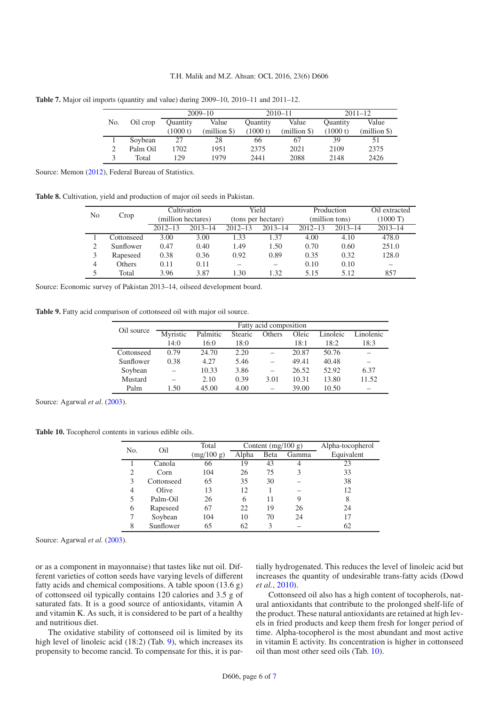|     |          | $2009 - 10$     |              |                 | $2010 - 11$  | $2011 - 12$     |              |
|-----|----------|-----------------|--------------|-----------------|--------------|-----------------|--------------|
| No. | Oil crop | <b>Quantity</b> | Value        | <b>Quantity</b> | Value        | <b>Quantity</b> | Value        |
|     |          | (1000 t)        | (million \$) | (1000 t)        | $(million \$ | (1000 t)        | $(million \$ |
|     | Sovbean  | 27              | 28           | 66              | 67           | 39              |              |
|     | Palm Oil | 1702            | 1951         | 2375            | 2021         | 2109            | 2375         |
|     | Total    | 129             | 1979         | 2441            | 2088         | 2148            | 2426         |

<span id="page-5-1"></span><span id="page-5-0"></span>**Table 7.** Major oil imports (quantity and value) during 2009–10, 2010–11 and 2011–12.

Source: Memon [\(2012](#page-6-24)), Federal Bureau of Statistics.

<span id="page-5-2"></span>**Table 8.** Cultivation, yield and production of major oil seeds in Pakistan.

|    |               | Cultivation        |             |                    | Yield       |                | Production  | Oil extracted      |
|----|---------------|--------------------|-------------|--------------------|-------------|----------------|-------------|--------------------|
| No | Crop          | (million hectares) |             | (tons per hectare) |             | (million tons) |             | $(1000 \text{ T})$ |
|    |               | $2012 - 13$        | $2013 - 14$ | $2012 - 13$        | $2013 - 14$ | $2012 - 13$    | $2013 - 14$ | $2013 - 14$        |
|    | Cottonseed    | 3.00               | 3.00        | 1.33               | 1.37        | 4.00           | 4.10        | 478.0              |
|    | Sunflower     | 0.47               | 0.40        | 1.49               | 1.50        | 0.70           | 0.60        | 251.0              |
|    | Rapeseed      | 0.38               | 0.36        | 0.92               | 0.89        | 0.35           | 0.32        | 128.0              |
| 4  | <b>Others</b> | 0.11               | 0.11        |                    |             | 0.10           | 0.10        |                    |
|    | Total         | 3.96               | 3.87        | 1.30               | 1.32        | 5.15           | 5.12        | 857                |

Source: Economic survey of Pakistan 2013–14, oilseed development board.

<span id="page-5-3"></span>**Table 9.** Fatty acid comparison of cottonseed oil with major oil source.

| Oil source | Fatty acid composition |          |         |        |       |          |           |  |  |
|------------|------------------------|----------|---------|--------|-------|----------|-----------|--|--|
|            | Myristic               | Palmitic | Stearic | Others | Oleic | Linoleic | Linolenic |  |  |
|            | 14:0                   | 16:0     | 18:0    |        | 18:1  | 18:2     | 18:3      |  |  |
| Cottonseed | 0.79                   | 24.70    | 2.20    |        | 20.87 | 50.76    |           |  |  |
| Sunflower  | 0.38                   | 4.27     | 5.46    |        | 49.41 | 40.48    |           |  |  |
| Soybean    |                        | 10.33    | 3.86    |        | 26.52 | 52.92    | 6.37      |  |  |
| Mustard    |                        | 2.10     | 0.39    | 3.01   | 10.31 | 13.80    | 11.52     |  |  |
| Palm       | 1.50                   | 45.00    | 4.00    |        | 39.00 | 10.50    |           |  |  |

Source: Agarwal *et al.* [\(2003](#page-6-25)).

**Table 10.** Tocopherol contents in various edible oils.

|     |            | Total      |       | Content $(mg/100 g)$ | Alpha-tocopherol |            |
|-----|------------|------------|-------|----------------------|------------------|------------|
| No. | Oil        | (mg/100 g) | Alpha | Beta                 | Gamma            | Equivalent |
|     | Canola     | 66         | 19    | 43                   | 4                | 23         |
| 2   | Corn       | 104        | 26    | 75                   | 3                | 33         |
| 3   | Cottonseed | 65         | 35    | 30                   |                  | 38         |
| 4   | Olive      | 13         | 12    |                      |                  | 12         |
| 5   | Palm-Oil   | 26         | 6     | 11                   | 9                | 8          |
| 6   | Rapeseed   | 67         | 22    | 19                   | 26               | 24         |
|     | Soybean    | 104        | 10    | 70                   | 24               | 17         |
| 8   | Sunflower  | 65         | 62    | 3                    |                  | 62         |

Source: Agarwal *et al.* [\(2003](#page-6-25)).

or as a component in mayonnaise) that tastes like nut oil. Different varieties of cotton seeds have varying levels of different fatty acids and chemical compositions. A table spoon (13.6 g) of cottonseed oil typically contains 120 calories and 3.5 g of saturated fats. It is a good source of antioxidants, vitamin A and vitamin K. As such, it is considered to be part of a healthy and nutritious diet.

The oxidative stability of cottonseed oil is limited by its high level of linoleic acid (18:2) (Tab. [9\)](#page-5-2), which increases its propensity to become rancid. To compensate for this, it is partially hydrogenated. This reduces the level of linoleic acid but increases the quantity of undesirable trans-fatty acids (Dowd *et al.*, [2010\)](#page-6-26).

Cottonseed oil also has a high content of tocopherols, natural antioxidants that contribute to the prolonged shelf-life of the product. These natural antioxidants are retained at high levels in fried products and keep them fresh for longer period of time. Alpha-tocopherol is the most abundant and most active in vitamin E activity. Its concentration is higher in cottonseed oil than most other seed oils (Tab. [10\)](#page-5-3).